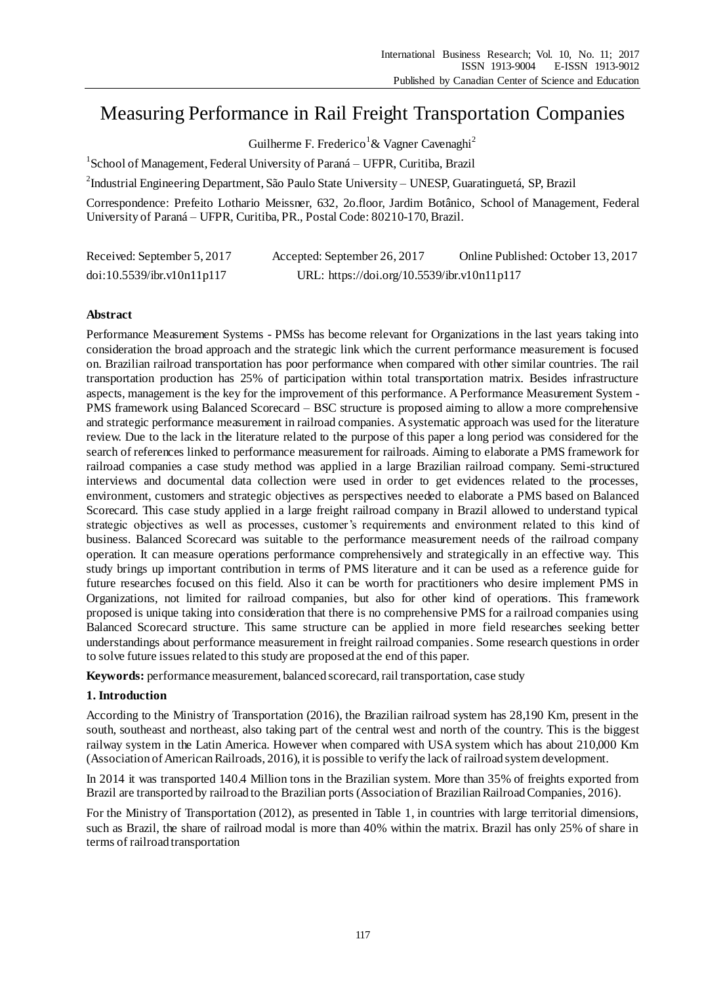# Measuring Performance in Rail Freight Transportation Companies

Guilherme F. Frederico<sup>1</sup> & Vagner Cavenaghi<sup>2</sup>

<sup>1</sup> School of Management, Federal University of Paraná - UFPR, Curitiba, Brazil

 $^2$ Industrial Engineering Department, São Paulo State University – UNESP, Guaratinguet á SP, Brazil

Correspondence: Prefeito Lothario Meissner, 632, 2o.floor, Jardim Botânico, School of Management, Federal University of Paraná – UFPR, Curitiba, PR., Postal Code: 80210-170, Brazil.

| Received: September 5, 2017 | Accepted: September 26, 2017                | Online Published: October 13, 2017 |
|-----------------------------|---------------------------------------------|------------------------------------|
| doi:10.5539/ibr.v10n11p117  | URL: https://doi.org/10.5539/ibr.v10n11p117 |                                    |

# **Abstract**

Performance Measurement Systems - PMSs has become relevant for Organizations in the last years taking into consideration the broad approach and the strategic link which the current performance measurement is focused on. Brazilian railroad transportation has poor performance when compared with other similar countries. The rail transportation production has 25% of participation within total transportation matrix. Besides infrastructure aspects, management is the key for the improvement of this performance. A Performance Measurement System - PMS framework using Balanced Scorecard – BSC structure is proposed aiming to allow a more comprehensive and strategic performance measurement in railroad companies. A systematic approach was used for the literature review. Due to the lack in the literature related to the purpose of this paper a long period was considered for the search of references linked to performance measurement for railroads. Aiming to elaborate a PMS framework for railroad companies a case study method was applied in a large Brazilian railroad company. Semi-structured interviews and documental data collection were used in order to get evidences related to the processes, environment, customers and strategic objectives as perspectives needed to elaborate a PMS based on Balanced Scorecard. This case study applied in a large freight railroad company in Brazil allowed to understand typical strategic objectives as well as processes, customer's requirements and environment related to this kind of business. Balanced Scorecard was suitable to the performance measurement needs of the railroad company operation. It can measure operations performance comprehensively and strategically in an effective way. This study brings up important contribution in terms of PMS literature and it can be used as a reference guide for future researches focused on this field. Also it can be worth for practitioners who desire implement PMS in Organizations, not limited for railroad companies, but also for other kind of operations. This framework proposed is unique taking into consideration that there is no comprehensive PMS for a railroad companies using Balanced Scorecard structure. This same structure can be applied in more field researches seeking better understandings about performance measurement in freight railroad companies. Some research questions in order to solve future issues related to this study are proposed at the end of this paper.

**Keywords:** performance measurement, balanced scorecard, rail transportation, case study

## **1. Introduction**

According to the Ministry of Transportation (2016), the Brazilian railroad system has 28,190 Km, present in the south, southeast and northeast, also taking part of the central west and north of the country. This is the biggest railway system in the Latin America. However when compared with USA system which has about 210,000 Km (Association of American Railroads, 2016), it is possible to verify the lack of railroad system development.

In 2014 it was transported 140.4 Million tons in the Brazilian system. More than 35% of freights exported from Brazil are transported by railroad to the Brazilian ports (Association of Brazilian Railroad Companies, 2016).

For the Ministry of Transportation (2012), as presented in Table 1, in countries with large territorial dimensions, such as Brazil, the share of railroad modal is more than 40% within the matrix. Brazil has only 25% of share in terms of railroad transportation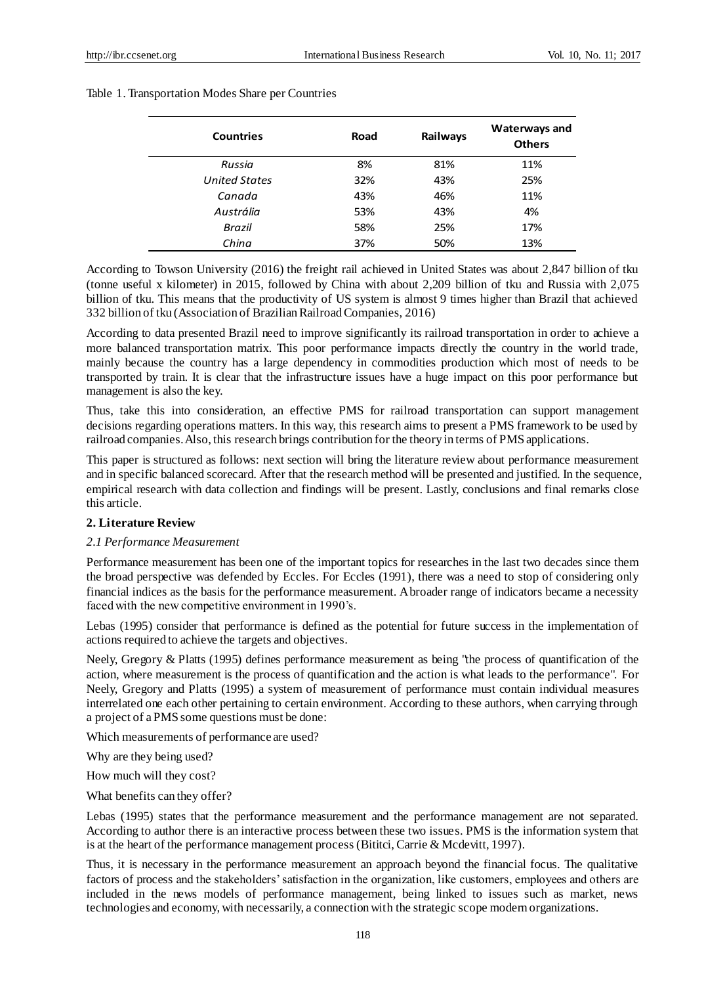|                               | <b>Countries</b>                                                                                                                                                                                                                                                                                                                                                                                                                                                                                                                                                                                                                                                                                                                                                                                                                              | Road | Railways | <b>Waterways and</b><br><b>Others</b> |
|-------------------------------|-----------------------------------------------------------------------------------------------------------------------------------------------------------------------------------------------------------------------------------------------------------------------------------------------------------------------------------------------------------------------------------------------------------------------------------------------------------------------------------------------------------------------------------------------------------------------------------------------------------------------------------------------------------------------------------------------------------------------------------------------------------------------------------------------------------------------------------------------|------|----------|---------------------------------------|
|                               | Russia                                                                                                                                                                                                                                                                                                                                                                                                                                                                                                                                                                                                                                                                                                                                                                                                                                        | 8%   | 81%      | 11%                                   |
|                               | <b>United States</b>                                                                                                                                                                                                                                                                                                                                                                                                                                                                                                                                                                                                                                                                                                                                                                                                                          | 32%  | 43%      | 25%                                   |
|                               | Canada                                                                                                                                                                                                                                                                                                                                                                                                                                                                                                                                                                                                                                                                                                                                                                                                                                        | 43%  | 46%      | 11%                                   |
|                               | Austrália                                                                                                                                                                                                                                                                                                                                                                                                                                                                                                                                                                                                                                                                                                                                                                                                                                     | 53%  | 43%      | 4%                                    |
|                               | <b>Brazil</b>                                                                                                                                                                                                                                                                                                                                                                                                                                                                                                                                                                                                                                                                                                                                                                                                                                 | 58%  | 25%      | 17%                                   |
|                               | China                                                                                                                                                                                                                                                                                                                                                                                                                                                                                                                                                                                                                                                                                                                                                                                                                                         | 37%  | 50%      | 13%                                   |
|                               | According to Towson University (2016) the freight rail achieved in United States was about 2,847 billion<br>(tonne useful x kilometer) in 2015, followed by China with about 2,209 billion of tku and Russia wi<br>billion of tku. This means that the productivity of US system is almost 9 times higher than Brazil that a<br>332 billion of tku (Association of Brazilian Railroad Companies, 2016)<br>According to data presented Brazil need to improve significantly its railroad transportation in order to a<br>more balanced transportation matrix. This poor performance impacts directly the country in the wor<br>mainly because the country has a large dependency in commodities production which most of need<br>transported by train. It is clear that the infrastructure issues have a huge impact on this poor performation |      |          |                                       |
| management is also the key.   |                                                                                                                                                                                                                                                                                                                                                                                                                                                                                                                                                                                                                                                                                                                                                                                                                                               |      |          |                                       |
|                               | Thus, take this into consideration, an effective PMS for railroad transportation can support man<br>decisions regarding operations matters. In this way, this research aims to present a PMS framework to be<br>railroad companies. Also, this research brings contribution for the theory in terms of PMS applications.                                                                                                                                                                                                                                                                                                                                                                                                                                                                                                                      |      |          |                                       |
| this article.                 | This paper is structured as follows: next section will bring the literature review about performance meas<br>and in specific balanced scorecard. After that the research method will be presented and justified. In the s<br>empirical research with data collection and findings will be present. Lastly, conclusions and final remar                                                                                                                                                                                                                                                                                                                                                                                                                                                                                                        |      |          |                                       |
| 2. Literature Review          |                                                                                                                                                                                                                                                                                                                                                                                                                                                                                                                                                                                                                                                                                                                                                                                                                                               |      |          |                                       |
| 2.1 Performance Measurement   |                                                                                                                                                                                                                                                                                                                                                                                                                                                                                                                                                                                                                                                                                                                                                                                                                                               |      |          |                                       |
|                               | Performance measurement has been one of the important topics for researches in the last two decades sir<br>the broad perspective was defended by Eccles. For Eccles (1991), there was a need to stop of consider<br>financial indices as the basis for the performance measurement. A broader range of indicators became a r<br>faced with the new competitive environment in 1990's.                                                                                                                                                                                                                                                                                                                                                                                                                                                         |      |          |                                       |
|                               | Lebas (1995) consider that performance is defined as the potential for future success in the implement<br>actions required to achieve the targets and objectives.                                                                                                                                                                                                                                                                                                                                                                                                                                                                                                                                                                                                                                                                             |      |          |                                       |
|                               | Neely, Gregory & Platts (1995) defines performance measurement as being "the process of quantification<br>action, where measurement is the process of quantification and the action is what leads to the performan<br>Neely, Gregory and Platts (1995) a system of measurement of performance must contain individual n<br>interrelated one each other pertaining to certain environment. According to these authors, when carrying<br>a project of a PMS some questions must be done:                                                                                                                                                                                                                                                                                                                                                        |      |          |                                       |
|                               | Which measurements of performance are used?                                                                                                                                                                                                                                                                                                                                                                                                                                                                                                                                                                                                                                                                                                                                                                                                   |      |          |                                       |
| Why are they being used?      |                                                                                                                                                                                                                                                                                                                                                                                                                                                                                                                                                                                                                                                                                                                                                                                                                                               |      |          |                                       |
| How much will they cost?      |                                                                                                                                                                                                                                                                                                                                                                                                                                                                                                                                                                                                                                                                                                                                                                                                                                               |      |          |                                       |
| What benefits can they offer? |                                                                                                                                                                                                                                                                                                                                                                                                                                                                                                                                                                                                                                                                                                                                                                                                                                               |      |          |                                       |
|                               | Lebas (1995) states that the performance measurement and the performance management are not see                                                                                                                                                                                                                                                                                                                                                                                                                                                                                                                                                                                                                                                                                                                                               |      |          |                                       |
|                               | According to author there is an interactive process between these two issues. PMS is the information sys<br>is at the heart of the performance management process (Bititci, Carrie & Mcdevitt, 1997).                                                                                                                                                                                                                                                                                                                                                                                                                                                                                                                                                                                                                                         |      |          |                                       |
|                               | Thus, it is necessary in the performance measurement an approach beyond the financial focus. The qu<br>factors of process and the stakeholders' satisfaction in the organization, like customers, employees and of<br>included in the news models of performance management, being linked to issues such as marked<br>technologies and economy, with necessarily, a connection with the strategic scope modern organizations.                                                                                                                                                                                                                                                                                                                                                                                                                 |      |          |                                       |

Table 1. Transportation Modes Share per Countries

According to Towson University (2016) the freight rail achieved in United States was about 2,847 billion of tku (tonne useful x kilometer) in 2015, followed by China with about 2,209 billion of tku and Russia with 2,075 billion of tku. This means that the productivity of US system is almost 9 times higher than Brazil that achieved 332 billion of tku (Association of Brazilian Railroad Companies, 2016)

According to data presented Brazil need to improve significantly its railroad transportation in order to achieve a more balanced transportation matrix. This poor performance impacts directly the country in the world trade, mainly because the country has a large dependency in commodities production which most of needs to be transported by train. It is clear that the infrastructure issues have a huge impact on this poor performance but management is also the key.

Thus, take this into consideration, an effective PMS for railroad transportation can support management decisions regarding operations matters. In this way, this research aims to present a PMS framework to be used by railroad companies. Also, this research brings contribution for the theory in terms of PMS applications.

This paper is structured as follows: next section will bring the literature review about performance measurement and in specific balanced scorecard. After that the research method will be presented and justified. In the sequence, empirical research with data collection and findings will be present. Lastly, conclusions and final remarks close this article.

## **2. Literature Review**

## *2.1 Performance Measurement*

Performance measurement has been one of the important topics for researches in the last two decades since them the broad perspective was defended by Eccles. For Eccles (1991), there was a need to stop of considering only financial indices as the basis for the performance measurement. A broader range of indicators became a necessity faced with the new competitive environment in 1990's.

Lebas (1995) consider that performance is defined as the potential for future success in the implementation of actions required to achieve the targets and objectives.

Neely, Gregory & Platts (1995) defines performance measurement as being "the process of quantification of the action, where measurement is the process of quantification and the action is what leads to the performance". For Neely, Gregory and Platts (1995) a system of measurement of performance must contain individual measures interrelated one each other pertaining to certain environment. According to these authors, when carrying through a project of a PMS some questions must be done:

Lebas (1995) states that the performance measurement and the performance management are not separated. According to author there is an interactive process between these two issues. PMS is the information system that is at the heart of the performance management process (Bititci, Carrie & Mcdevitt, 1997).

Thus, it is necessary in the performance measurement an approach beyond the financial focus. The qualitative factors of process and the stakeholders' satisfaction in the organization, like customers, employees and others are included in the news models of performance management, being linked to issues such as market, news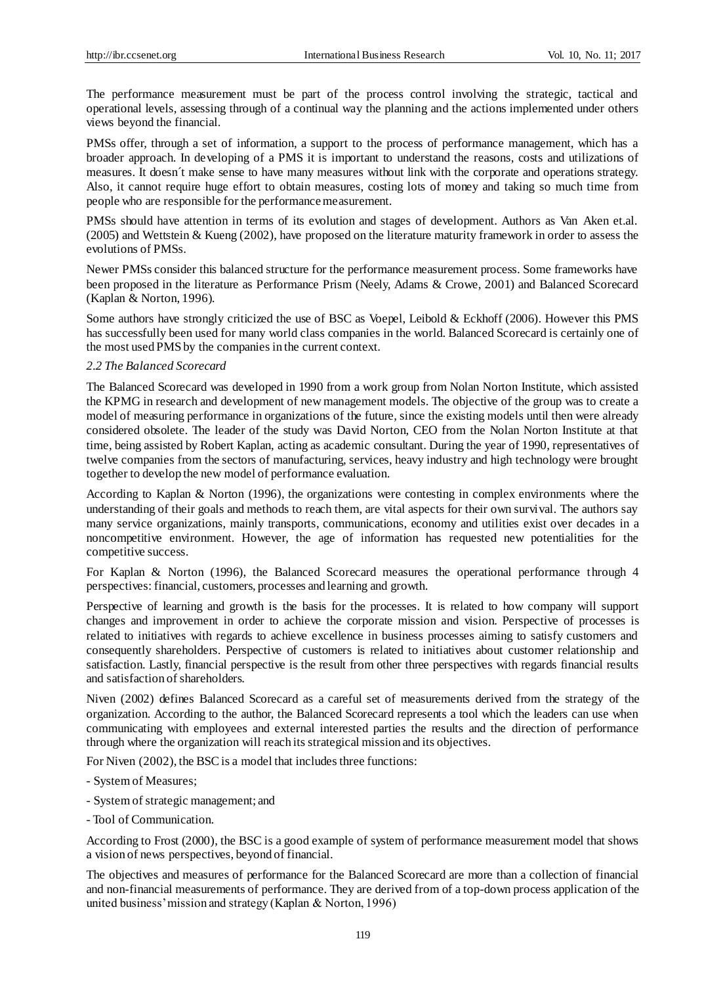The performance measurement must be part of the process control involving the strategic, tactical and operational levels, assessing through of a continual way the planning and the actions implemented under others views beyond the financial.

PMSs offer, through a set of information, a support to the process of performance management, which has a broader approach. In developing of a PMS it is important to understand the reasons, costs and utilizations of measures. It doesn´t make sense to have many measures without link with the corporate and operations strategy. Also, it cannot require huge effort to obtain measures, costing lots of money and taking so much time from people who are responsible for the performance measurement.

PMSs should have attention in terms of its evolution and stages of development. Authors as Van Aken et.al. (2005) and Wettstein & Kueng (2002), have proposed on the literature maturity framework in order to assess the evolutions of PMSs.

Newer PMSs consider this balanced structure for the performance measurement process. Some frameworks have been proposed in the literature as Performance Prism (Neely, Adams & Crowe, 2001) and Balanced Scorecard (Kaplan & Norton, 1996).

Some authors have strongly criticized the use of BSC as Voepel, Leibold & Eckhoff (2006). However this PMS has successfully been used for many world class companies in the world. Balanced Scorecard is certainly one of the most used PMS by the companies in the current context.

#### *2.2 The Balanced Scorecard*

The Balanced Scorecard was developed in 1990 from a work group from Nolan Norton Institute, which assisted the KPMG in research and development of new management models. The objective of the group was to create a model of measuring performance in organizations of the future, since the existing models until then were already considered obsolete. The leader of the study was David Norton, CEO from the Nolan Norton Institute at that time, being assisted by Robert Kaplan, acting as academic consultant. During the year of 1990, representatives of twelve companies from the sectors of manufacturing, services, heavy industry and high technology were brought together to develop the new model of performance evaluation.

According to Kaplan & Norton (1996), the organizations were contesting in complex environments where the understanding of their goals and methods to reach them, are vital aspects for their own survival. The authors say many service organizations, mainly transports, communications, economy and utilities exist over decades in a noncompetitive environment. However, the age of information has requested new potentialities for the competitive success.

For Kaplan & Norton (1996), the Balanced Scorecard measures the operational performance through 4 perspectives: financial, customers, processes and learning and growth.

Perspective of learning and growth is the basis for the processes. It is related to how company will support changes and improvement in order to achieve the corporate mission and vision. Perspective of processes is related to initiatives with regards to achieve excellence in business processes aiming to satisfy customers and consequently shareholders. Perspective of customers is related to initiatives about customer relationship and satisfaction. Lastly, financial perspective is the result from other three perspectives with regards financial results and satisfaction of shareholders.

Niven (2002) defines Balanced Scorecard as a careful set of measurements derived from the strategy of the organization. According to the author, the Balanced Scorecard represents a tool which the leaders can use when communicating with employees and external interested parties the results and the direction of performance through where the organization will reach its strategical mission and its objectives.

For Niven (2002), the BSC is a model that includes three functions:

- System of Measures;
- System of strategic management; and
- Tool of Communication.

According to Frost (2000), the BSC is a good example of system of performance measurement model that shows a vision of news perspectives, beyond of financial.

The objectives and measures of performance for the Balanced Scorecard are more than a collection of financial and non-financial measurements of performance. They are derived from of a top-down process application of the united business' mission and strategy (Kaplan & Norton, 1996)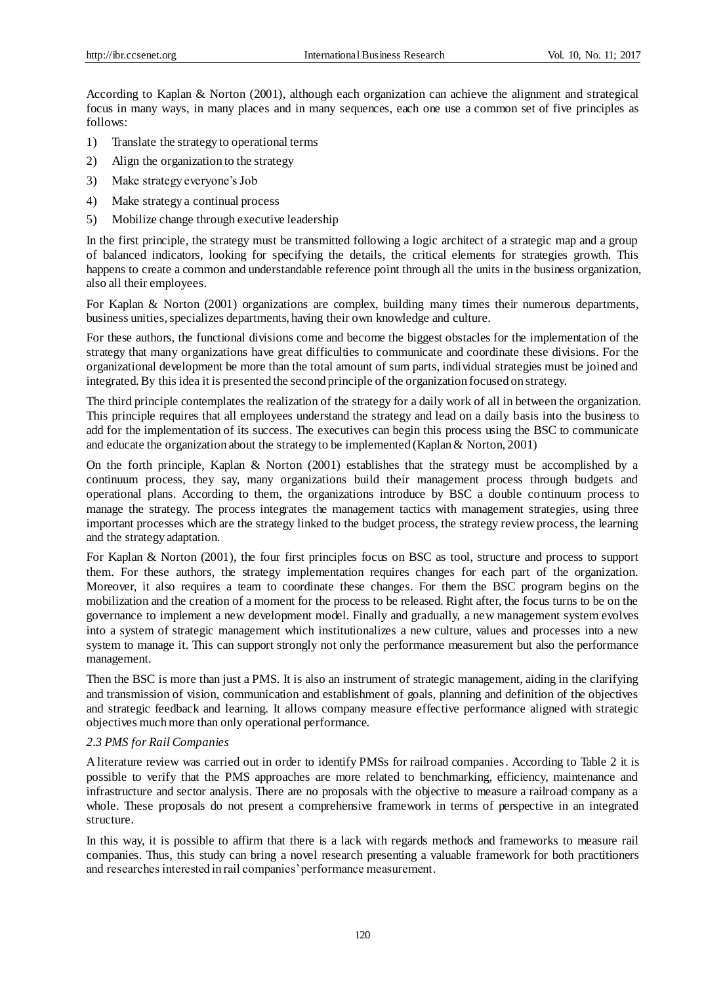According to Kaplan & Norton (2001), although each organization can achieve the alignment and strategical focus in many ways, in many places and in many sequences, each one use a common set of five principles as follows:

- 1) Translate the strategy to operational terms
- 2) Align the organization to the strategy
- 3) Make strategy everyone's Job
- 4) Make strategy a continual process
- 5) Mobilize change through executive leadership

In the first principle, the strategy must be transmitted following a logic architect of a strategic map and a group of balanced indicators, looking for specifying the details, the critical elements for strategies growth. This happens to create a common and understandable reference point through all the units in the business organization, also all their employees.

For Kaplan & Norton (2001) organizations are complex, building many times their numerous departments, business unities, specializes departments, having their own knowledge and culture.

For these authors, the functional divisions come and become the biggest obstacles for the implementation of the strategy that many organizations have great difficulties to communicate and coordinate these divisions. For the organizational development be more than the total amount of sum parts, individual strategies must be joined and integrated. By this idea it is presented the second principle of the organization focused on strategy.

The third principle contemplates the realization of the strategy for a daily work of all in between the organization. This principle requires that all employees understand the strategy and lead on a daily basis into the business to add for the implementation of its success. The executives can begin this process using the BSC to communicate and educate the organization about the strategy to be implemented (Kaplan & Norton, 2001)

On the forth principle, Kaplan & Norton (2001) establishes that the strategy must be accomplished by a continuum process, they say, many organizations build their management process through budgets and operational plans. According to them, the organizations introduce by BSC a double continuum process to manage the strategy. The process integrates the management tactics with management strategies, using three important processes which are the strategy linked to the budget process, the strategy review process, the learning and the strategy adaptation.

For Kaplan & Norton (2001), the four first principles focus on BSC as tool, structure and process to support them. For these authors, the strategy implementation requires changes for each part of the organization. Moreover, it also requires a team to coordinate these changes. For them the BSC program begins on the mobilization and the creation of a moment for the process to be released. Right after, the focus turns to be on the governance to implement a new development model. Finally and gradually, a new management system evolves into a system of strategic management which institutionalizes a new culture, values and processes into a new system to manage it. This can support strongly not only the performance measurement but also the performance management.

Then the BSC is more than just a PMS. It is also an instrument of strategic management, aiding in the clarifying and transmission of vision, communication and establishment of goals, planning and definition of the objectives and strategic feedback and learning. It allows company measure effective performance aligned with strategic objectives much more than only operational performance.

## *2.3 PMS for Rail Companies*

A literature review was carried out in order to identify PMSs for railroad companies. According to Table 2 it is possible to verify that the PMS approaches are more related to benchmarking, efficiency, maintenance and infrastructure and sector analysis. There are no proposals with the objective to measure a railroad company as a whole. These proposals do not present a comprehensive framework in terms of perspective in an integrated structure.

In this way, it is possible to affirm that there is a lack with regards methods and frameworks to measure rail companies. Thus, this study can bring a novel research presenting a valuable framework for both practitioners and researches interested in rail companies' performance measurement.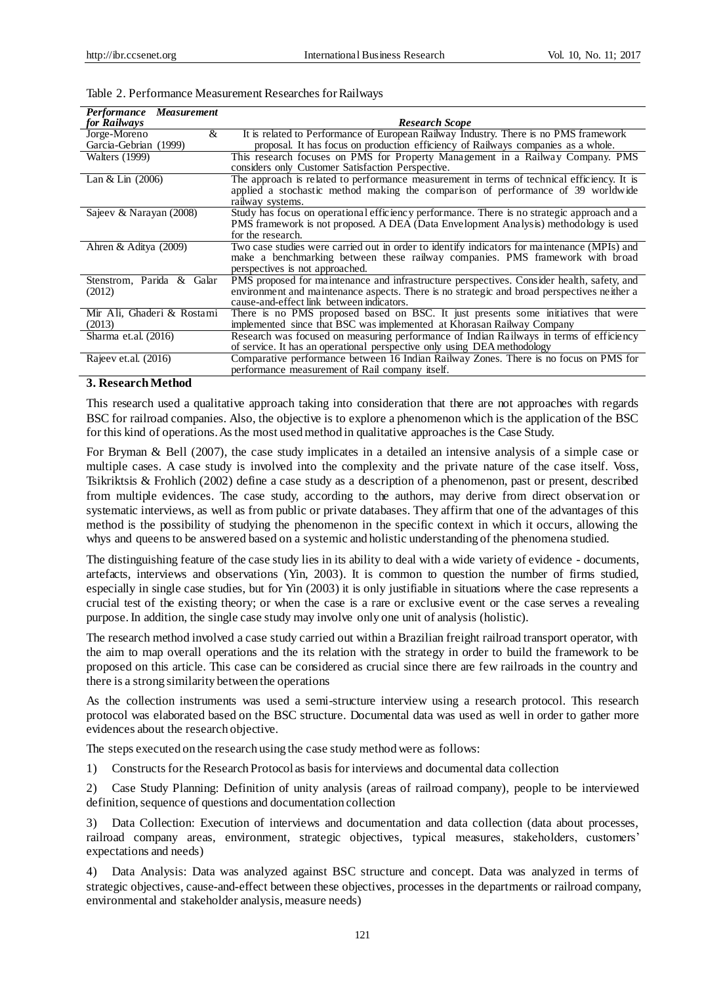| Performance Measurement              |                                                                                                                                                                                                                                        |
|--------------------------------------|----------------------------------------------------------------------------------------------------------------------------------------------------------------------------------------------------------------------------------------|
| for Railways                         | <b>Research Scope</b>                                                                                                                                                                                                                  |
| Jorge-Moreno<br>&                    | It is related to Performance of European Railway Industry. There is no PMS framework                                                                                                                                                   |
| Garcia-Gebrian (1999)                | proposal. It has focus on production efficiency of Railways companies as a whole.                                                                                                                                                      |
| <b>Walters</b> (1999)                | This research focuses on PMS for Property Management in a Railway Company. PMS<br>considers only Customer Satisfaction Perspective.                                                                                                    |
| Lan & Lin $(2006)$                   | The approach is related to performance measurement in terms of technical efficiency. It is<br>applied a stochastic method making the comparison of performance of 39 worldwide<br>railway systems.                                     |
| Sajeev & Narayan (2008)              | Study has focus on operational efficiency performance. There is no strategic approach and a<br>PMS framework is not proposed. A DEA (Data Envelopment Analysis) methodology is used<br>for the research.                               |
| Ahren & Aditya (2009)                | Two case studies were carried out in order to identify indicators for maintenance (MPIs) and<br>make a benchmarking between these railway companies. PMS framework with broad<br>perspectives is not approached.                       |
| Stenstrom, Parida & Galar<br>(2012)  | PMS proposed for maintenance and infrastructure perspectives. Consider health, safety, and<br>environment and maintenance aspects. There is no strategic and broad perspectives neither a<br>cause-and-effect link between indicators. |
| Mir Ali, Ghaderi & Rostami<br>(2013) | There is no PMS proposed based on BSC. It just presents some initiatives that were<br>implemented since that BSC was implemented at Khorasan Railway Company                                                                           |
| Sharma et.al. $(2016)$               | Research was focused on measuring performance of Indian Railways in terms of efficiency<br>of service. It has an operational perspective only using DEA methodology                                                                    |
| Rajeev et.al. (2016)                 | Comparative performance between 16 Indian Railway Zones. There is no focus on PMS for<br>performance measurement of Rail company itself.                                                                                               |

#### Table 2. Performance Measurement Researches for Railways

#### **3. Research Method**

This research used a qualitative approach taking into consideration that there are not approaches with regards BSC for railroad companies. Also, the objective is to explore a phenomenon which is the application of the BSC for this kind of operations. As the most used method in qualitative approaches is the Case Study.

For Bryman & Bell (2007), the case study implicates in a detailed an intensive analysis of a simple case or multiple cases. A case study is involved into the complexity and the private nature of the case itself. Voss, Tsikriktsis & Frohlich (2002) define a case study as a description of a phenomenon, past or present, described from multiple evidences. The case study, according to the authors, may derive from direct observation or systematic interviews, as well as from public or private databases. They affirm that one of the advantages of this method is the possibility of studying the phenomenon in the specific context in which it occurs, allowing the whys and queens to be answered based on a systemic and holistic understanding of the phenomena studied.

The distinguishing feature of the case study lies in its ability to deal with a wide variety of evidence - documents, artefacts, interviews and observations (Yin, 2003). It is common to question the number of firms studied, especially in single case studies, but for Yin (2003) it is only justifiable in situations where the case represents a crucial test of the existing theory; or when the case is a rare or exclusive event or the case serves a revealing purpose. In addition, the single case study may involve only one unit of analysis (holistic).

The research method involved a case study carried out within a Brazilian freight railroad transport operator, with the aim to map overall operations and the its relation with the strategy in order to build the framework to be proposed on this article. This case can be considered as crucial since there are few railroads in the country and there is a strong similarity between the operations

As the collection instruments was used a semi-structure interview using a research protocol. This research protocol was elaborated based on the BSC structure. Documental data was used as well in order to gather more evidences about the research objective.

The steps executed on the research using the case study method were as follows:

1) Constructs for the Research Protocol as basis for interviews and documental data collection

2) Case Study Planning: Definition of unity analysis (areas of railroad company), people to be interviewed definition, sequence of questions and documentation collection

3) Data Collection: Execution of interviews and documentation and data collection (data about processes, railroad company areas, environment, strategic objectives, typical measures, stakeholders, customers' expectations and needs)

4) Data Analysis: Data was analyzed against BSC structure and concept. Data was analyzed in terms of strategic objectives, cause-and-effect between these objectives, processes in the departments or railroad company, environmental and stakeholder analysis, measure needs)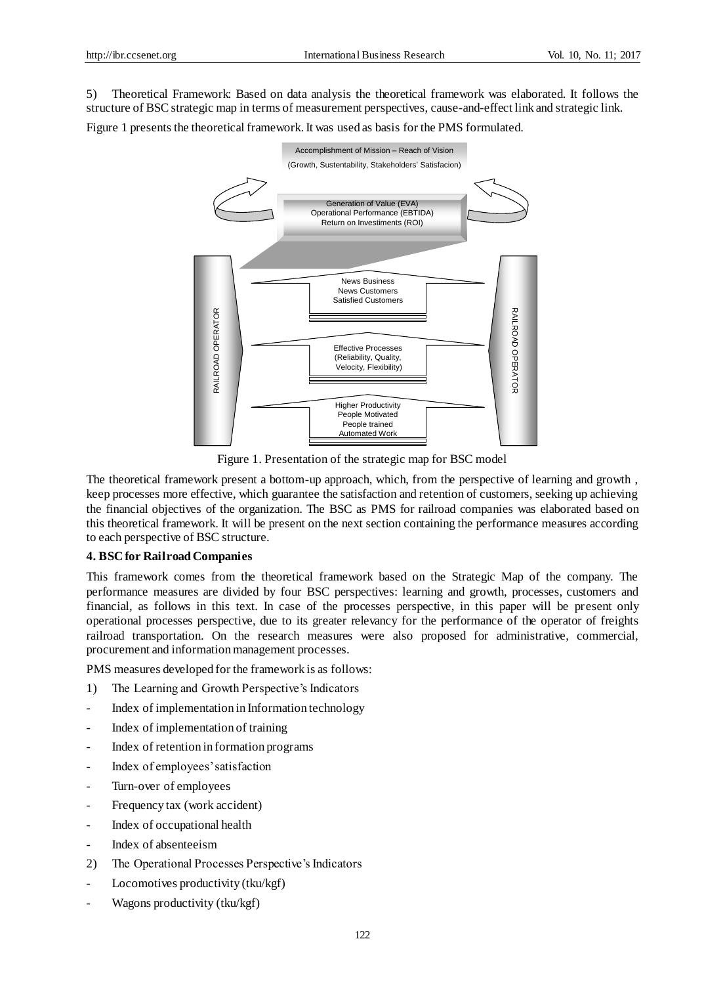5) Theoretical Framework: Based on data analysis the theoretical framework was elaborated. It follows the structure of BSC strategic map in terms of measurement perspectives, cause-and-effect link and strategic link.

Figure 1 presents the theoretical framework. It was used as basis for the PMS formulated.



Figure 1. Presentation of the strategic map for BSC model

The theoretical framework present a bottom-up approach, which, from the perspective of learning and growth , keep processes more effective, which guarantee the satisfaction and retention of customers, seeking up achieving the financial objectives of the organization. The BSC as PMS for railroad companies was elaborated based on this theoretical framework. It will be present on the next section containing the performance measures according to each perspective of BSC structure.

## **4. BSC for Railroad Companies**

This framework comes from the theoretical framework based on the Strategic Map of the company. The performance measures are divided by four BSC perspectives: learning and growth, processes, customers and financial, as follows in this text. In case of the processes perspective, in this paper will be present only operational processes perspective, due to its greater relevancy for the performance of the operator of freights railroad transportation. On the research measures were also proposed for administrative, commercial, procurement and information management processes.

PMS measures developed for the framework is as follows:

- 1) The Learning and Growth Perspective's Indicators
- Index of implementation in Information technology
- Index of implementation of training
- Index of retention in formation programs
- Index of employees' satisfaction
- Turn-over of employees
- Frequency tax (work accident)
- Index of occupational health
- Index of absenteeism
- 2) The Operational Processes Perspective's Indicators
- Locomotives productivity (tku/kgf)
- Wagons productivity (tku/kgf)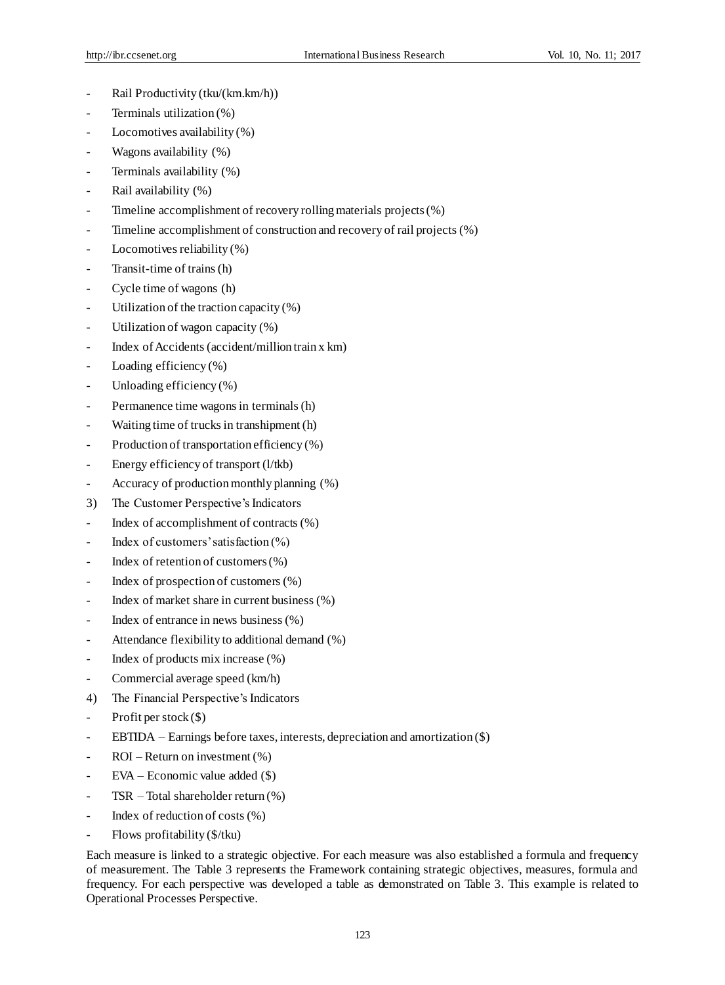- Rail Productivity (tku/(km.km/h))
- Terminals utilization (%)
- Locomotives availability  $(\%)$
- Wagons availability (%)
- Terminals availability (%)
- Rail availability (%)
- Timeline accomplishment of recovery rolling materials projects (%)
- Timeline accomplishment of construction and recovery of rail projects (%)
- Locomotives reliability (%)
- Transit-time of trains (h)
- Cycle time of wagons (h)
- Utilization of the traction capacity  $(\%)$
- Utilization of wagon capacity (%)
- Index of Accidents (accident/million train x km)
- Loading efficiency  $(\%)$
- Unloading efficiency (%)
- Permanence time wagons in terminals (h)
- Waiting time of trucks in transhipment (h)
- Production of transportation efficiency (%)
- Energy efficiency of transport (l/tkb)
- Accuracy of production monthly planning (%)
- 3) The Customer Perspective's Indicators
- Index of accomplishment of contracts  $(\%)$
- Index of customers' satisfaction  $(\% )$
- Index of retention of customers  $(\%)$
- Index of prospection of customers  $(\%)$
- Index of market share in current business  $(\%)$
- Index of entrance in news business (%)
- Attendance flexibility to additional demand (%)
- Index of products mix increase  $(\%)$
- Commercial average speed (km/h)
- 4) The Financial Perspective's Indicators
- Profit per stock (\$)
- EBTIDA Earnings before taxes, interests, depreciation and amortization (\$)
- ROI Return on investment  $(\%)$
- $EVA Economic value added (\$)$
- $TSR Total sharedholder return (\%)$
- Index of reduction of costs  $(\%)$
- Flows profitability (\$/tku)

Each measure is linked to a strategic objective. For each measure was also established a formula and frequency of measurement. The Table 3 represents the Framework containing strategic objectives, measures, formula and frequency. For each perspective was developed a table as demonstrated on Table 3. This example is related to Operational Processes Perspective.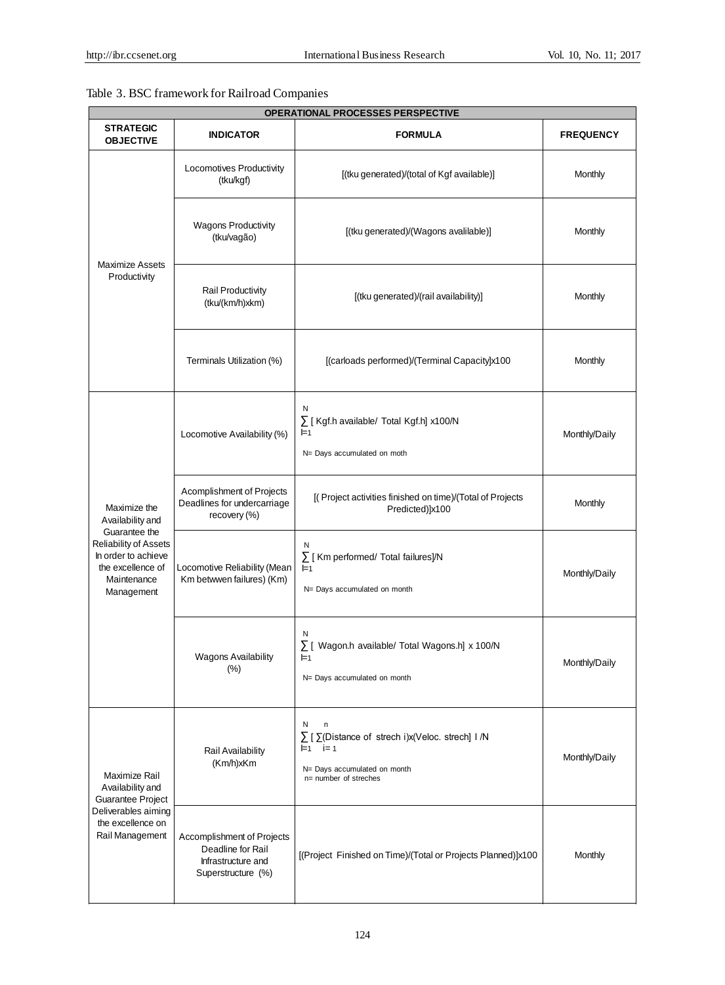# Table 3. BSC framework for Railroad Companies

| OPERATIONAL PROCESSES PERSPECTIVE                                                                               |                                                                                             |                                                                                                                                          |                  |  |
|-----------------------------------------------------------------------------------------------------------------|---------------------------------------------------------------------------------------------|------------------------------------------------------------------------------------------------------------------------------------------|------------------|--|
| <b>STRATEGIC</b><br><b>OBJECTIVE</b>                                                                            | <b>INDICATOR</b>                                                                            | <b>FORMULA</b>                                                                                                                           | <b>FREQUENCY</b> |  |
|                                                                                                                 | Locomotives Productivity<br>(tku/kgf)                                                       | [(tku generated)/(total of Kgf available)]                                                                                               | Monthly          |  |
|                                                                                                                 | Wagons Productivity<br>(tku/vagão)                                                          | [(tku generated)/(Wagons avalilable)]                                                                                                    | Monthly          |  |
| <b>Maximize Assets</b><br>Productivity                                                                          | Rail Productivity<br>(tku/(km/h)xkm)                                                        | [(tku generated)/(rail availability)]                                                                                                    | Monthly          |  |
|                                                                                                                 | Terminals Utilization (%)                                                                   | [(carloads performed)/(Terminal Capacity]x100                                                                                            | Monthly          |  |
|                                                                                                                 | Locomotive Availability (%)                                                                 | N<br>∑ [ Kgf.h available/ Total Kgf.h] x100/N<br>$=1$<br>N= Days accumulated on moth                                                     | Monthly/Daily    |  |
| Maximize the<br>Availability and                                                                                | Acomplishment of Projects<br>Deadlines for undercarriage<br>recovery (%)                    | [( Project activities finished on time)/(Total of Projects<br>Predicted)]x100                                                            | Monthly          |  |
| Guarantee the<br>Reliability of Assets<br>In order to achieve<br>the excellence of<br>Maintenance<br>Management | Locomotive Reliability (Mean<br>Km betwwen failures) (Km)                                   | N<br>$\sum$ [ Km performed/ Total failures]/N<br>$=1$<br>N= Days accumulated on month                                                    | Monthly/Daily    |  |
|                                                                                                                 | Wagons Availability<br>$(\% )$                                                              | N<br>∑ [ Wagon.h available/ Total Wagons.h] x 100/N<br><b>1=1</b><br>N= Days accumulated on month                                        | Monthly/Daily    |  |
| Maximize Rail<br>Availability and<br>Guarantee Project                                                          | Rail Availability<br>(Km/h)xKm                                                              | N<br>n<br>∑ [∑(Distance of strech i)x(Veloc. strech] I/N<br>$i=1$<br>$\equiv$ 1<br>N= Days accumulated on month<br>n= number of streches | Monthly/Daily    |  |
| Deliverables aiming<br>the excellence on<br>Rail Management                                                     | Accomplishment of Projects<br>Deadline for Rail<br>Infrastructure and<br>Superstructure (%) | [(Project Finished on Time)/(Total or Projects Planned)]x100                                                                             | Monthly          |  |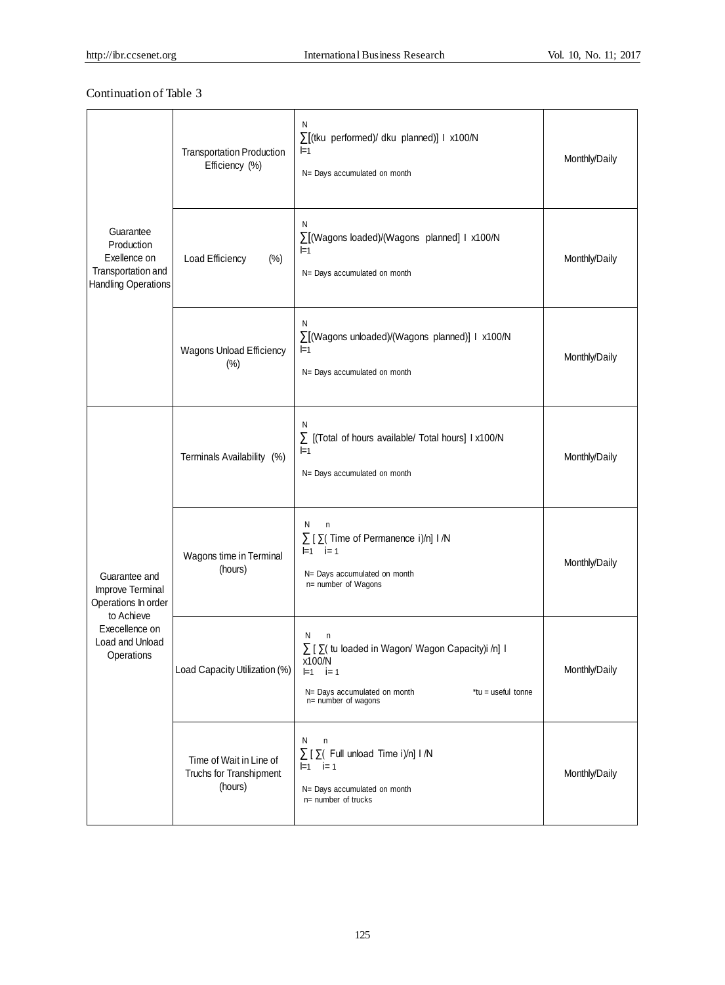# Continuation of Table 3

|  | nttp://ibr.ccsenet.org                                                                      |                                                               | international Business Research                                                                                                                                       | VOL 10, IVO. 11, 201 |
|--|---------------------------------------------------------------------------------------------|---------------------------------------------------------------|-----------------------------------------------------------------------------------------------------------------------------------------------------------------------|----------------------|
|  | Continuation of Table 3                                                                     |                                                               |                                                                                                                                                                       |                      |
|  |                                                                                             | <b>Transportation Production</b><br>Efficiency (%)            | N<br>$\sum$ [(tku performed)/ dku planned)]   x100/N<br>l=1<br>N= Days accumulated on month                                                                           | Monthly/Daily        |
|  | Guarantee<br>Production<br>Exellence on<br>Transportation and<br><b>Handling Operations</b> | Load Efficiency<br>(% )                                       | N<br>∑[(Wagons loaded)/(Wagons planned] I x100/N<br>$=1$<br>N= Days accumulated on month                                                                              | Monthly/Daily        |
|  |                                                                                             | Wagons Unload Efficiency<br>$(\%)$                            | Ν<br>∑[(Wagons unloaded)/(Wagons planned)]   x100/N<br>$\models$ 1<br>N= Days accumulated on month                                                                    | Monthly/Daily        |
|  |                                                                                             | Terminals Availability (%)                                    | N<br>$\sum$ [(Total of hours available/ Total hours] I x100/N<br>$\equiv$ 1<br>N= Days accumulated on month                                                           | Monthly/Daily        |
|  | Guarantee and<br>Improve Terminal<br>Operations In order<br>to Achieve                      | Wagons time in Terminal<br>(hours)                            | N<br>n<br>$\sum$ [ $\sum$ (Time of Permanence i)/n] I/N<br>$=1$ $i=1$<br>N= Days accumulated on month<br>n= number of Wagons                                          | Monthly/Daily        |
|  | Execellence on<br>Load and Unload<br>Operations                                             | Load Capacity Utilization (%)                                 | N<br>n<br>Σ [ Σ (tu loaded in Wagon/ Wagon Capacity)i /n] I<br>x100/N<br>$I = 1$ $I = 1$<br>N= Days accumulated on month<br>*tu = useful tonne<br>n= number of wagons | Monthly/Daily        |
|  |                                                                                             | Time of Wait in Line of<br>Truchs for Transhipment<br>(hours) | Ν<br>n<br>$\sum$ [ $\sum$ (Full unload Time i)/n] I/N<br>$=1$ $=1$<br>N= Days accumulated on month<br>n= number of trucks                                             | Monthly/Daily        |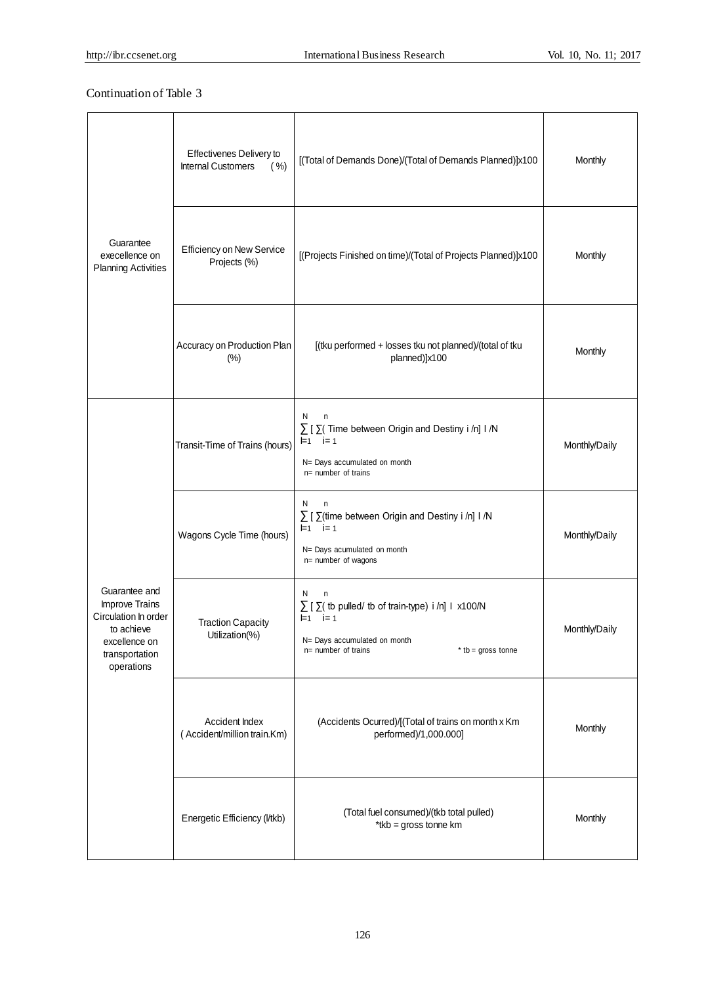# Continuation of Table 3

|                                                                                                                        | Effectivenes Delivery to<br><b>Internal Customers</b><br>( %) | [(Total of Demands Done)/(Total of Demands Planned)]x100                                                                                                            | Monthly       |
|------------------------------------------------------------------------------------------------------------------------|---------------------------------------------------------------|---------------------------------------------------------------------------------------------------------------------------------------------------------------------|---------------|
| Guarantee<br>execellence on<br><b>Planning Activities</b>                                                              | Efficiency on New Service<br>Projects (%)                     | [(Projects Finished on time)/(Total of Projects Planned)]x100                                                                                                       | Monthly       |
|                                                                                                                        | Accuracy on Production Plan<br>$(\%)$                         | [(tku performed + losses tku not planned)/(total of tku<br>planned)]x100                                                                                            | Monthly       |
| Guarantee and<br>Improve Trains<br>Circulation In order<br>to achieve<br>excellence on<br>transportation<br>operations | Transit-Time of Trains (hours)                                | N<br>n<br>$\sum$ [ $\sum$ (Time between Origin and Destiny i /n] I /N<br>$=1$ $i=1$<br>N= Days accumulated on month<br>n= number of trains                          | Monthly/Daily |
|                                                                                                                        | Wagons Cycle Time (hours)                                     | N<br>n<br>Σ [ Σ(time between Origin and Destiny i /n] I /N<br>$=1$ $i=1$<br>N= Days acumulated on month<br>n= number of wagons                                      | Monthly/Daily |
|                                                                                                                        | <b>Traction Capacity</b><br>Utilization(%)                    | N<br>n<br>$\sum$ [ $\sum$ ( tb pulled/ tb of train-type) i/n] 1 x100/N<br>$=1$ $i=1$<br>N= Days accumulated on month<br>n= number of trains<br>$*$ tb = gross tonne | Monthly/Daily |
|                                                                                                                        | Accident Index<br>(Accident/million train.Km)                 | (Accidents Ocurred)/[(Total of trains on month x Km<br>performed)/1,000.000]                                                                                        | Monthly       |
|                                                                                                                        | Energetic Efficiency (l/tkb)                                  | (Total fuel consumed)/(tkb total pulled)<br>*tkb = gross tonne km                                                                                                   | Monthly       |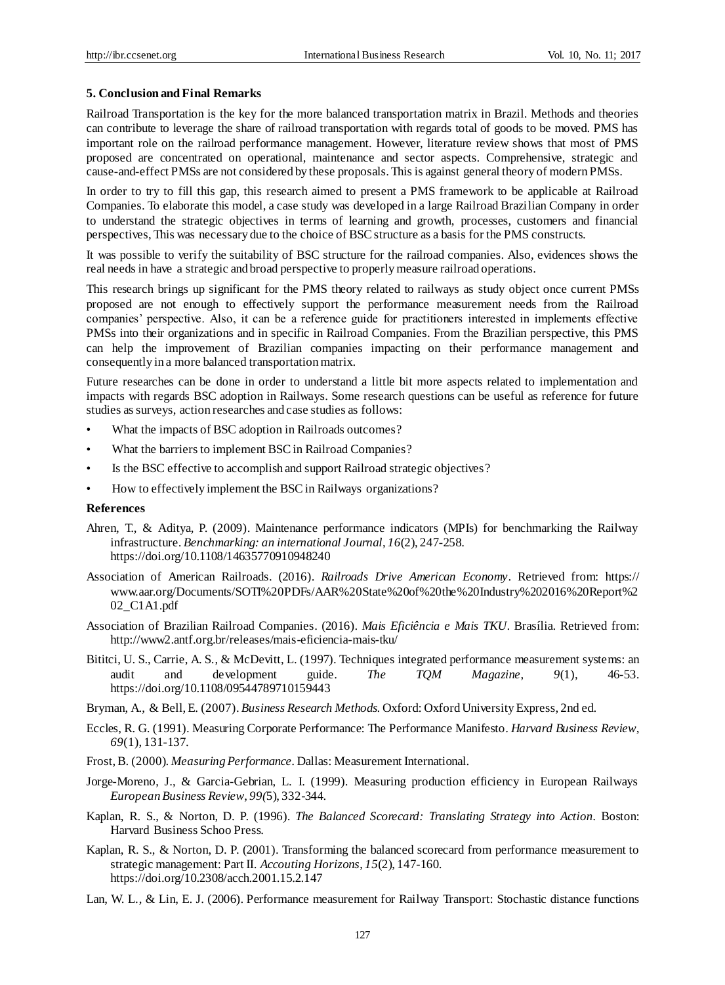## **5. Conclusion and Final Remarks**

Railroad Transportation is the key for the more balanced transportation matrix in Brazil. Methods and theories can contribute to leverage the share of railroad transportation with regards total of goods to be moved. PMS has important role on the railroad performance management. However, literature review shows that most of PMS proposed are concentrated on operational, maintenance and sector aspects. Comprehensive, strategic and cause-and-effect PMSs are not considered by these proposals. This is against general theory of modern PMSs.

In order to try to fill this gap, this research aimed to present a PMS framework to be applicable at Railroad Companies. To elaborate this model, a case study was developed in a large Railroad Brazilian Company in order to understand the strategic objectives in terms of learning and growth, processes, customers and financial perspectives, This was necessary due to the choice of BSC structure as a basis for the PMS constructs.

It was possible to verify the suitability of BSC structure for the railroad companies. Also, evidences shows the real needs in have a strategic and broad perspective to properly measure railroad operations.

This research brings up significant for the PMS theory related to railways as study object once current PMSs proposed are not enough to effectively support the performance measurement needs from the Railroad companies' perspective. Also, it can be a reference guide for practitioners interested in implements effective PMSs into their organizations and in specific in Railroad Companies. From the Brazilian perspective, this PMS can help the improvement of Brazilian companies impacting on their performance management and consequently in a more balanced transportation matrix.

Future researches can be done in order to understand a little bit more aspects related to implementation and impacts with regards BSC adoption in Railways. Some research questions can be useful as reference for future studies as surveys, action researches and case studies as follows:

- What the impacts of BSC adoption in Railroads outcomes?
- What the barriers to implement BSC in Railroad Companies?
- Is the BSC effective to accomplish and support Railroad strategic objectives?
- How to effectively implement the BSC in Railways organizations?

#### **References**

- Ahren, T., & Aditya, P. (2009). Maintenance performance indicators (MPIs) for benchmarking the Railway infrastructure. *Benchmarking: an international Journal*, *16*(2), 247-258. https://doi.org/10.1108/14635770910948240
- Association of American Railroads. (2016). *Railroads Drive American Economy*. Retrieved from: https:// www.aar.org/Documents/SOTI%20PDFs/AAR%20State%20of%20the%20Industry%202016%20Report%2 02\_C1A1.pdf
- Association of Brazilian Railroad Companies. (2016). *Mais Eficiência e Mais TKU*. Brasília. Retrieved from: http://www2.antf.org.br/releases/mais-eficiencia-mais-tku/
- Bititci, U. S., Carrie, A. S., & McDevitt, L. (1997). Techniques integrated performance measurement systems: an audit and development guide. *The TQM Magazine*, *9*(1), 46-53. https://doi.org/10.1108/09544789710159443
- Bryman, A., & Bell, E. (2007). *Business Research Methods.* Oxford: Oxford University Express, 2nd ed.
- Eccles, R. G. (1991). Measuring Corporate Performance: The Performance Manifesto. *Harvard Business Review*, *69*(1), 131-137.
- Frost, B. (2000). *Measuring Performance.* Dallas: Measurement International.
- Jorge-Moreno, J., & Garcia-Gebrian, L. I. (1999). Measuring production efficiency in European Railways *European Business Review*, *99(*5), 332-344.
- Kaplan, R. S., & Norton, D. P. (1996). *The Balanced Scorecard: Translating Strategy into Action.* Boston: Harvard Business Schoo Press.
- Kaplan, R. S., & Norton, D. P. (2001). Transforming the balanced scorecard from performance measurement to strategic management: Part II. *Accouting Horizons*, *15*(2), 147-160. https://doi.org/10.2308/acch.2001.15.2.147
- Lan, W. L., & Lin, E. J. (2006). Performance measurement for Railway Transport: Stochastic distance functions